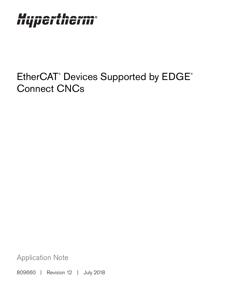# Hypertherm®

# EtherCAT<sup>®</sup> Devices Supported by EDGE<sup>®</sup> Connect CNCs

Application Note

809660 | Revision 12 | July 2018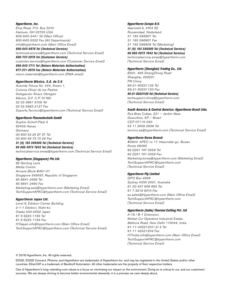#### Hypertherm, Inc.

Etna Road, P.O. Box 5010 Hanover, NH 03755 USA 603-643-3441 Tel (Main Office) 603-643-5352 Fax (All Departments) info@hypertherm.com (Main Office Email)

800-643-9878 Tel (Technical Service) technical.service@hypertherm.com (Technical Service Email) 800-737-2978 Tel (Customer Service)

customer.service@hypertherm.com (Customer Service Email)

866-643-7711 Tel (Return Materials Authorization) 877-371-2876 Fax (Return Materials Authorization) return.materials@hypertherm.com (RMA email)

#### Hypertherm México, S.A. de C.V.

Avenida Toluca No. 444, Anexo 1, Colonia Olivar de los Padres Delegación Álvaro Obregón México, D.F. C.P. 01780 52 55 5681 8109 Tel 52 55 5683 2127 Fax Soporte.Tecnico@hypertherm.com (Technical Service Email)

#### Hypertherm Plasmatechnik GmbH

Sophie-Scholl-Platz 5 63452 Hanau **Germany** 00 800 33 24 97 37 Tel 00 800 49 73 73 29 Fax

#### 31 (0) 165 596900 Tel (Technical Service)

00 800 4973 7843 Tel (Technical Service) technicalservice.emea@hypertherm.com (Technical Service Email)

#### Hypertherm (Singapore) Pte Ltd.

82 Genting Lane Media Centre Annexe Block #A01-01 Singapore 349567, Republic of Singapore 65 6841 2489 Tel 65 6841 2490 Fax Marketing.asia@hypertherm.com (Marketing Email) TechSupportAPAC@hypertherm.com (Technical Service Email)

#### Hypertherm Japan Ltd.

Level 9, Edobori Center Building 2-1-1 Edobori, Nishi-ku Osaka 550-0002 Japan 81 6 6225 1183 Tel 81 6 6225 1184 Fax HTJapan.info@hypertherm.com (Main Office Email) TechSupportAPAC@hypertherm.com (Technical Service Email)

#### Hypertherm Europe B.V.

Vaartveld 9, 4704 SE Roosendaal, Nederland 31 165 596907 Tel 31 165 596901 Fax 31 165 596908 Tel (Marketing) 31 (0) 165 596900 Tel (Technical Service) 00 800 4973 7843 Tel (Technical Service)

technicalservice.emea@hypertherm.com (Technical Service Email)

#### Hypertherm (Shanghai) Trading Co., Ltd.

B301, 495 ShangZhong Road Shanghai, 200231 PR China 86-21-80231122 Tel 86-21-80231120 Fax

86-21-80231128 Tel (Technical Service) techsupport.china@hypertherm.com (Technical Service Email)

#### South America & Central America: Hypertherm Brasil Ltda.

Rua Bras Cubas, 231 – Jardim Maia Guarulhos, SP – Brasil CEP 07115-030 55 11 2409 2636 Tel tecnico.sa@hypertherm.com (Technical Service Email)

#### Hypertherm Korea Branch

#3904. APEC-ro 17. Heaundae-gu. Busan. Korea 48060 82 (0)51 747 0358 Tel 82 (0)51 701 0358 Fax Marketing.korea@hypertherm.com (Marketing Email) TechSupportAPAC@hypertherm.com (Technical Service Email)

#### Hypertherm Pty Limited

GPO Box 4836 Sydney NSW 2001, Australia 61 (0) 437 606 995 Tel 61 7 3219 9010 Fax au.sales@Hypertherm.com (Main Office Email) TechSupportAPAC@hypertherm.com (Technical Service Email)

#### Hypertherm (India) Thermal Cutting Pvt. Ltd

A-18 / B-1 Extension, Mohan Co-Operative Industrial Estate, Mathura Road, New Delhi 110044, India 91-11-40521201/ 2/ 3 Tel 91-11 40521204 Fax HTIndia.info@hypertherm.com (Main Office Email) TechSupportAPAC@hypertherm.com (Technical Service Email)

© 2018 Hypertherm, Inc. All rights reserved.

EDGE, EDGE Connect, Phoenix, and Hypertherm are trademarks of Hypertherm Inc. and may be registered in the United States and/or other countries. EtherCAT is a trademark of Beckhoff Automation. All other trademarks are the property of their respective holders.

One of Hypertherm's long–standing core values is a focus on minimizing our impact on the environment. Doing so is critical to our, and our customers', success. We are always striving to become better environmental stewards; it is a process we care deeply about.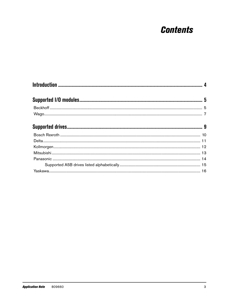# **Contents**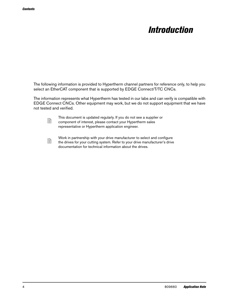# Introduction

<span id="page-3-0"></span>The following information is provided to Hypertherm channel partners for reference only, to help you select an EtherCAT component that is supported by EDGE Connect/T/TC CNCs.

The information represents what Hypertherm has tested in our labs and can verify is compatible with EDGE Connect CNCs. Other equipment may work, but we do not support equipment that we have not tested and verified.



This document is updated regularly. If you do not see a supplier or component of interest, please contact your Hypertherm sales representative or Hypertherm application engineer.



Work in partnership with your drive manufacturer to select and configure<br>the drives for your cutting system. Refer to your drive manufacturer's drive documentation for technical information about the drives.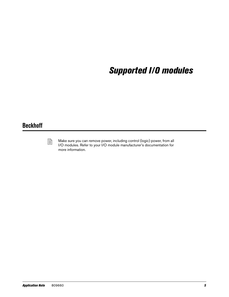# <span id="page-4-2"></span>Supported I/O modules

## <span id="page-4-1"></span><span id="page-4-0"></span>**Beckhoff**

Make sure you can remove power, including control (logic) power, from all I/O modules. Refer to your I/O module manufacturer's documentation for more information.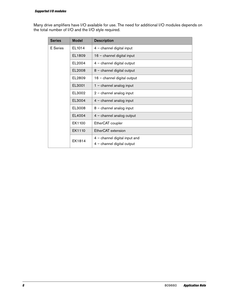Many drive amplifiers have I/O available for use. The need for additional I/O modules depends on the total number of I/O and the I/O style required.

| <b>Series</b> | <b>Model</b> | <b>Description</b>                                          |  |
|---------------|--------------|-------------------------------------------------------------|--|
| E Series      | EL1014       | 4 - channel digital input                                   |  |
|               | EL1809       | 16 - channel digital input                                  |  |
|               | EL2004       | 4 - channel digital output                                  |  |
|               | EL2008       | 8 - channel digital output                                  |  |
|               | EL2809       | 16 - channel digital output                                 |  |
|               | EL3001       | $1 -$ channel analog input                                  |  |
|               | EL3002       | $2$ – channel analog input                                  |  |
|               | EL3004       | 4 - channel analog input                                    |  |
|               | EL3008       | 8 - channel analog input                                    |  |
|               | EL4004       | 4 - channel analog output                                   |  |
|               | EK1100       | EtherCAT coupler                                            |  |
|               | EK1110       | EtherCAT extension                                          |  |
|               | EK1814       | 4 - channel digital input and<br>4 - channel digital output |  |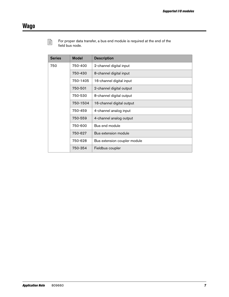<span id="page-6-0"></span>For proper data transfer, a bus end module is required at the end of the  $f_{\text{old}}$ field bus node.

| <b>Series</b> | <b>Model</b> | <b>Description</b>           |  |
|---------------|--------------|------------------------------|--|
| 750           | 750-400      | 2-channel digital input      |  |
|               | 750-430      | 8-channel digital input      |  |
|               | 750-1405     | 16-channel digital input     |  |
|               | 750-501      | 2-channel digital output     |  |
|               | 750-530      | 8-channel digital output     |  |
|               | 750-1504     | 16-channel digital output    |  |
|               | 750-459      | 4-channel analog input       |  |
|               | 750-559      | 4-channel analog output      |  |
|               | 750-600      | Bus end module               |  |
|               | 750-627      | Bus extension module         |  |
|               | 750-628      | Bus extension coupler module |  |
|               | 750-354      | Fieldbus coupler             |  |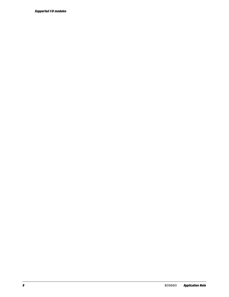Supported I/O modules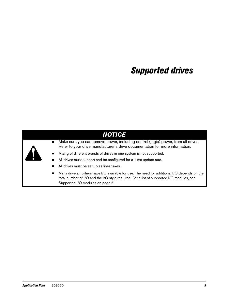# Supported drives

<span id="page-8-0"></span>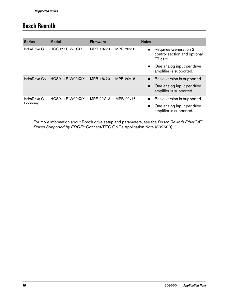### <span id="page-9-0"></span>**Bosch Rexroth**

| <b>Series</b>        | <b>Model</b>    | <b>Firmware</b>         | <b>Notes</b>                                                                               |
|----------------------|-----------------|-------------------------|--------------------------------------------------------------------------------------------|
| IndraDrive C         | HCS02.1E-W0XXX  | $MPB-18v20 - MPB-20v16$ | <b>Requires Generation 2</b><br>$\blacksquare$<br>control section and optional<br>ET card. |
|                      |                 |                         | One analog input per drive<br>$\blacksquare$<br>amplifier is supported.                    |
| <b>IndraDrive Cs</b> | HCS01.1E-W00XXX | MPB-18y20 - MPB-20y16   | Basic version is supported.<br>$\blacksquare$                                              |
|                      |                 |                         | One analog input per drive<br>$\blacksquare$<br>amplifier is supported.                    |
| IndraDrive C         | HCS01.1E-W00XXX | $MPE-20V13 - MPB-20v16$ | Basic version is supported.<br>$\blacksquare$                                              |
| Economy              |                 |                         | One analog input per drive<br>п<br>amplifier is supported.                                 |

For more information about Bosch drive setup and parameters, see the Bosch Rexroth EtherCAT® Drives Supported by EDGE® Connect/T/TC CNCs Application Note (809600).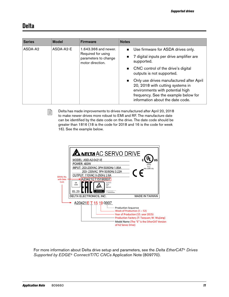<span id="page-10-0"></span>

| <b>Series</b> | <b>Model</b> | <b>Firmware</b>                                                                        | <b>Notes</b>                                                                                                                                                                                                                |
|---------------|--------------|----------------------------------------------------------------------------------------|-----------------------------------------------------------------------------------------------------------------------------------------------------------------------------------------------------------------------------|
| ASDA-A2       | ASDA-A2-E    | 1.643.366 and newer.<br>Required for using<br>parameters to change<br>motor direction. | ■ Use firmware for ASDA drives only.<br>7 digital inputs per drive amplifier are<br>supported.<br>■ CNC control of the drive's digital                                                                                      |
|               |              |                                                                                        | outputs is not supported.<br>• Only use drives manufactured after April<br>20, 2018 with cutting systems in<br>environments with potential high<br>frequency. See the example below for<br>information about the date code. |

Delta has made improvements to drives manufactured after April 20, 2018 to make newer drives more robust to EMI and RF. The manufacture date can be identified by the date code on the drive. The date code should be greater than 1816 (18 is the code for 2018 and 16 is the code for week 16). See the example below.

| <b>SERIAL No.</b><br>with Date<br>Code | <b>A NELTA AC SERVO DRIVE</b><br>MODEL: ASD-A2-0421-E<br><b>POWER: 400W</b><br>INPUT: 200-230VAC 3PH 50/60Hz 1.86A<br>200-230VAC 1PH 50/60Hz 3.22A<br>OUTPUT: 110VAC 0-250Hz 2.6A<br>A20421ET15190007<br>OR<br>Lafety<br>CODE<br>Type<br>Acoround<br>01.23<br>drawing Trans Cabin<br>0 KINGGODOGO | <b>ISTED</b><br>Xxyy<br>ND. CONT. EQ.                                                                                                                                                           |
|----------------------------------------|---------------------------------------------------------------------------------------------------------------------------------------------------------------------------------------------------------------------------------------------------------------------------------------------------|-------------------------------------------------------------------------------------------------------------------------------------------------------------------------------------------------|
|                                        | <b>DELTA ELECTRONICS, INC.</b>                                                                                                                                                                                                                                                                    | <b>MADE IN TAIWAN</b>                                                                                                                                                                           |
|                                        | A20421E T 15 19 0007<br>of A2 Servo Drive)                                                                                                                                                                                                                                                        | <b>Production Sequence</b><br>Week of Production $(1 - 52)$<br>Year of Production (15: year 2015)<br>Production Factory (T: Taoyuan; W; Wujiang)<br>Model Name (The "E" is the EtherCAT Version |

For more information about Delta drive setup and parameters, see the Delta EtherCAT<sup>®</sup> Drives Supported by EDGE® Connect/T/TC CNCs Application Note (809770).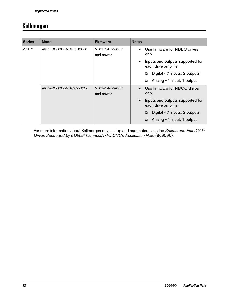## <span id="page-11-0"></span>**Kollmorgen**

| <b>Series</b> | <b>Model</b>         | <b>Firmware</b>               | <b>Notes</b>                                                               |
|---------------|----------------------|-------------------------------|----------------------------------------------------------------------------|
| <b>AKD®</b>   | AKD-PXXXXX-NBEC-XXXX | $V$ 01-14-00-002<br>and newer | Use firmware for NBEC drives<br>$\blacksquare$<br>only.                    |
|               |                      |                               | Inputs and outputs supported for<br>$\blacksquare$<br>each drive amplifier |
|               |                      |                               | Digital - 7 inputs, 2 outputs<br>$\Box$                                    |
|               |                      |                               | Analog - 1 input, 1 output<br>$\Box$                                       |
|               | AKD-PXXXXX-NBCC-XXXX | $V$ 01-14-00-002<br>and newer | Use firmware for NBCC drives<br>$\blacksquare$<br>only.                    |
|               |                      |                               | Inputs and outputs supported for<br>each drive amplifier                   |
|               |                      |                               | Digital - 7 inputs, 2 outputs<br>$\Box$                                    |
|               |                      |                               | Analog - 1 input, 1 output<br>$\Box$                                       |

For more information about Kollmorgen drive setup and parameters, see the Kollmorgen EtherCAT® Drives Supported by EDGE® Connect/T/TC CNCs Application Note (809590).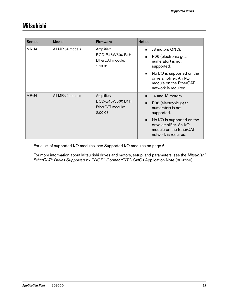### <span id="page-12-0"></span>**Mitsubishi**

| <b>Series</b> | <b>Model</b>                | <b>Firmware</b>                                                           | <b>Notes</b>                                                                                                                         |
|---------------|-----------------------------|---------------------------------------------------------------------------|--------------------------------------------------------------------------------------------------------------------------------------|
| MR-J4         | All MR-J4 models            | Amplifier:<br>BCD-B46W500 B1H<br>EtherCAT module:<br>1.10.01              | J3 motors ONLY.<br>$\blacksquare$<br>P06 (electronic gear<br>■<br>numerator) is not<br>supported.<br>No I/O is supported on the<br>п |
|               |                             |                                                                           | drive amplifier. An I/O<br>module on the EtherCAT<br>network is required.                                                            |
| MR-J4         | All MR-J4 models            | Amplifier:<br>BCD-B46W500 B1H                                             | J4 and J3 motors.<br>$\blacksquare$                                                                                                  |
|               | EtherCAT module:<br>2.00.03 | P06 (electronic gear<br>$\blacksquare$<br>numerator) is not<br>supported. |                                                                                                                                      |
|               |                             |                                                                           | No I/O is supported on the<br>$\blacksquare$<br>drive amplifier. An I/O<br>module on the EtherCAT<br>network is required.            |

For a list of supported I/O modules, see Supported I/O modules on page 6.

For more information about Mitsubishi drives and motors, setup, and parameters, see the Mitsubishi EtherCAT® Drives Supported by EDGE® Connect/T/TC CNCs Application Note (809750).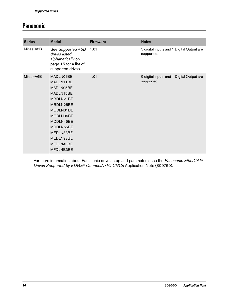# <span id="page-13-0"></span>**Panasonic**

| <b>Series</b> | <b>Model</b>                                                                                                                                                                       | <b>Firmware</b> | <b>Notes</b>                                            |
|---------------|------------------------------------------------------------------------------------------------------------------------------------------------------------------------------------|-----------------|---------------------------------------------------------|
| Minas-A5B     | See Supported A5B<br>drives listed<br>alphabetically on<br>page 15 for a list of<br>supported drives.                                                                              | 1.01            | 5 digital inputs and 1 Digital Output are<br>supported. |
| Minas-A6B     | MADLN01BE<br>MADLN11BE<br>MADLN05BE<br>MADLN15BE<br>MBDLN21BE<br>MBDLN25BE<br>MCDLN31BE<br>MCDLN35BE<br>MDDLN45BE<br>MDDLN55BE<br>MEDLN83BE<br>MEDLN93BE<br>MFDLNA3BE<br>MFDLNB3BE | 1.01            | 5 digital inputs and 1 Digital Output are<br>supported. |

For more information about Panasonic drive setup and parameters, see the Panasonic EtherCAT® Drives Supported by EDGE® Connect/T/TC CNCs Application Note (809760).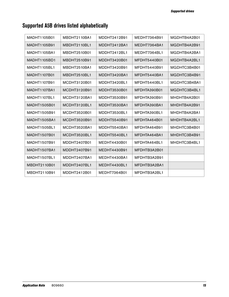### <span id="page-14-0"></span>**Supported A5B drives listed alphabetically**

| MADHT1105B01        | MBDHT2110BA1 | MDDHT2412B91 | MEDHT7364B91 | MGDHTB4A2B01 |
|---------------------|--------------|--------------|--------------|--------------|
| MADHT1105B91        | MBDHT2110BL1 | MDDHT2412BA1 | MEDHT7364BA1 | MGDHTB4A2B91 |
| <b>MADHT1105BA1</b> | MBDHT2510B01 | MDDHT2412BL1 | MEDHT7364BL1 | MGDHTB4A2BA1 |
| <b>MADHT1105BD1</b> | MBDHT2510B91 | MDDHT3420B01 | MFDHT5440B01 | MGDHTB4A2BL1 |
| <b>MADHT1105BL1</b> | MBDHT2510BA1 | MDDHT3420B91 | MFDHT5440B91 | MGDHTC3B4B01 |
| <b>MADHT1107B01</b> | MBDHT2510BL1 | MDDHT3420BA1 | MFDHT5440BA1 | MGDHTC3B4B91 |
| MADHT1107B91        | MCDHT3120B01 | MDDHT3420BL1 | MFDHT5440BL1 | MGDHTC3B4BA1 |
| MADHT1107BA1        | MCDHT3120B91 | MDDHT3530B01 | MFDHTA390B01 | MGDHTC3B4BL1 |
| MADHT1107BL1        | MCDHT3120BA1 | MDDHT3530B91 | MFDHTA390B91 | MHDHTB4A2B01 |
| MADHT1505B01        | MCDHT3120BL1 | MDDHT3530BA1 | MFDHTA390BA1 | MHDHTB4A2B91 |
| MADHT1505B91        | MCDHT3520B01 | MDDHT3530BL1 | MFDHTA390BL1 | MHDHTB4A2BA1 |
| MADHT1505BA1        | MCDHT3520B91 | MDDHT5540B91 | MFDHTA464B01 | MHDHTB4A2BL1 |
| MADHT1505BL1        | MCDHT3520BA1 | MDDHT5540BA1 | MFDHTA464B91 | MHDHTC3B4B01 |
| MADHT1507B01        | MCDHT3520BL1 | MDDHT5540BL1 | MFDHTA464BA1 | MHDHTC3B4B91 |
| MADHT1507B91        | MDDHT2407B01 | MEDHT4430B01 | MFDHTA464BL1 | MHDHTC3B4BL1 |
| MADHT1507BA1        | MDDHT2407B91 | MEDHT4430B91 | MFDHTB3A2B01 |              |
| MADHT1507BL1        | MDDHT2407BA1 | MEDHT4430BA1 | MFDHTB3A2B91 |              |
| MBDHT2110B01        | MDDHT2407BL1 | MEDHT4430BL1 | MFDHTB3A2BA1 |              |
| MBDHT2110B91        | MDDHT2412B01 | MEDHT7364B01 | MFDHTB3A2BL1 |              |